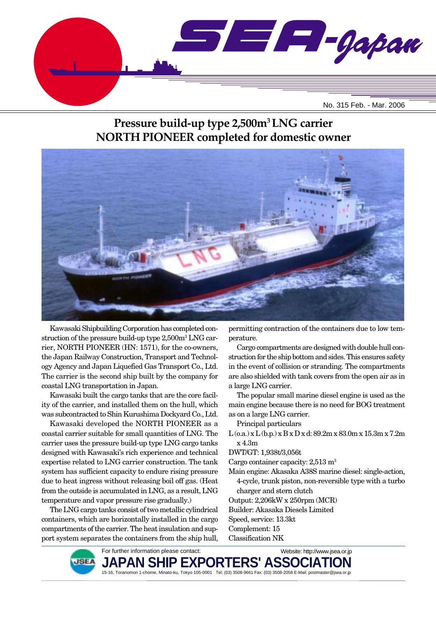

# **Pressure build-up type 2,500m3 LNG carrier NORTH PIONEER completed for domestic owner**



Kawasaki Shipbuilding Corporation has completed construction of the pressure build-up type 2,500m3 LNG carrier, NORTH PIONEER (HN: 1571), for the co-owners, the Japan Railway Construction, Transport and Technology Agency and Japan Liquefied Gas Transport Co., Ltd. The carrier is the second ship built by the company for coastal LNG transportation in Japan.

Kawasaki built the cargo tanks that are the core facility of the carrier, and installed them on the hull, which was subcontracted to Shin Kurushima Dockyard Co., Ltd.

Kawasaki developed the NORTH PIONEER as a coastal carrier suitable for small quantities of LNG. The carrier uses the pressure build-up type LNG cargo tanks designed with Kawasaki's rich experience and technical expertise related to LNG carrier construction. The tank system has sufficient capacity to endure rising pressure due to heat ingress without releasing boil off gas. (Heat from the outside is accumulated in LNG, as a result, LNG temperature and vapor pressure rise gradually.)

The LNG cargo tanks consist of two metallic cylindrical containers, which are horizontally installed in the cargo compartments of the carrier. The heat insulation and support system separates the containers from the ship hull,

permitting contraction of the containers due to low temperature.

Cargo compartments are designed with double hull construction for the ship bottom and sides. This ensures safety in the event of collision or stranding. The compartments are also shielded with tank covers from the open air as in a large LNG carrier.

The popular small marine diesel engine is used as the main engine because there is no need for BOG treatment as on a large LNG carrier.

Principal particulars

L (o.a.) x L (b.p.) x B x D x d: 89.2m x 83.0m x 15.3m x 7.2m x 4.3m

DWT/GT: 1,938t/3,056t

Cargo container capacity: 2,513 m<sup>3</sup>

- Main engine: Akasaka A38S marine diesel: single-action, 4-cycle, trunk piston, non-reversible type with a turbo charger and stern clutch
- Output: 2,206kW x 250rpm (MCR)
- Builder: Akasaka Diesels Limited
- Speed, service: 13.3kt
- Complement: 15
- Classification NK

For further information please contact: **JAPAN SHIP EXPORTERS' ASSOCIATION** 15-16, Toranomon 1-chome, Minato-ku, Tokyo 105-0001 Tel: (03) 3508-9661 Fax: (03) 3508-2058 E-Mail: postmaster@jsea.or.jp Website: http://www.jsea.or.jp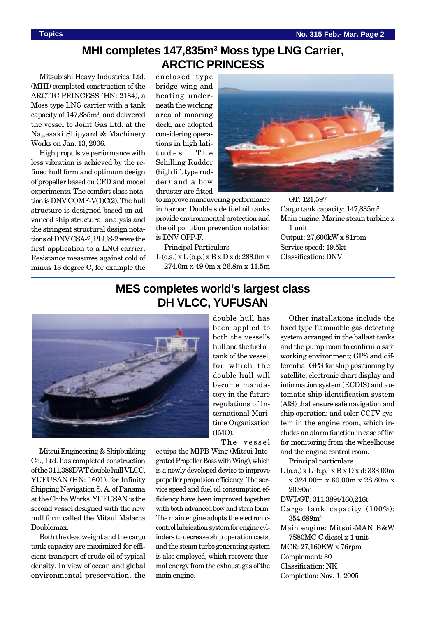### **MHI completes 147,835m3 Moss type LNG Carrier, ARCTIC PRINCESS**

Mitsubishi Heavy Industries, Ltd. (MHI) completed construction of the ARCTIC PRINCESS (HN: 2184), a Moss type LNG carrier with a tank capacity of 147,835m<sup>3</sup>, and delivered the vessel to Joint Gas Ltd. at the Nagasaki Shipyard & Machinery Works on Jan. 13, 2006.

High propulsive performance with less vibration is achieved by the refined hull form and optimum design of propeller based on CFD and model experiments. The comfort class notation is DNV COMF-V(1)C(2). The hull structure is designed based on advanced ship structural analysis and the stringent structural design notations of DNV CSA-2, PLUS-2 were the first application to a LNG carrier. Resistance measures against cold of minus 18 degree C, for example the

enclosed type bridge wing and heating underneath the working area of mooring deck, are adopted considering operations in high latitudes. The Schilling Rudder (high lift type rudder) and a bow thruster are fitted



Principal Particulars

 $L$  (o.a.) x  $L$  (b.p.) x  $B$  x  $D$  x d: 288.0m x 274.0m x 49.0m x 26.8m x 11.5m

GT: 121,597 Cargo tank capacity:  $147,835$ m<sup>3</sup> Main engine: Marine steam turbine x 1 unit Output: 27,600kW x 81rpm Service speed: 19.5kt Classification: DNV

### **MES completes world's largest class DH VLCC, YUFUSAN**



Mitsui Engineering & Shipbuilding Co., Ltd. has completed construction of the 311,389DWT double hull VLCC, YUFUSAN (HN: 1601), for Infinity Shipping Navigation S. A. of Panama at the Chiba Works. YUFUSAN is the second vessel designed with the new hull form called the Mitsui Malacca Doublemax.

Both the deadweight and the cargo tank capacity are maximized for efficient transport of crude oil of typical density. In view of ocean and global environmental preservation, the

been applied to both the vessel's hull and the fuel oil tank of the vessel, for which the double hull will become mandatory in the future regulations of International Maritime Organization (IMO).

double hull has

The vessel

equips the MIPB-Wing (Mitsui Integrated Propeller Boss with Wing), which is a newly developed device to improve propeller propulsion efficiency. The service speed and fuel oil consumption efficiency have been improved together with both advanced bow and stern form. The main engine adopts the electroniccontrol lubrication system for engine cylinders to decrease ship operation costs, and the steam turbo generating system is also employed, which recovers thermal energy from the exhaust gas of the main engine.

Other installations include the fixed type flammable gas detecting system arranged in the ballast tanks and the pump room to confirm a safe working environment; GPS and differential GPS for ship positioning by satellite; electronic chart display and information system (ECDIS) and automatic ship identification system (AIS) that ensure safe navigation and ship operation; and color CCTV system in the engine room, which includes an alarm function in case of fire for monitoring from the wheelhouse and the engine control room.

Principal particulars

 $L$  (o.a.) x  $L$  (b.p.) x  $B$  x  $D$  x d: 333.00m x 324.00m x 60.00m x 28.80m x 20.90m

- DWT/GT: 311,389t/160,216t
- Cargo tank capacity (100%): 354,689m3
- Main engine: Mitsui-MAN B&W 7S80MC-C diesel x 1 unit

MCR: 27,160KW x 76rpm Complement: 30

Classification: NK

Completion: Nov. 1, 2005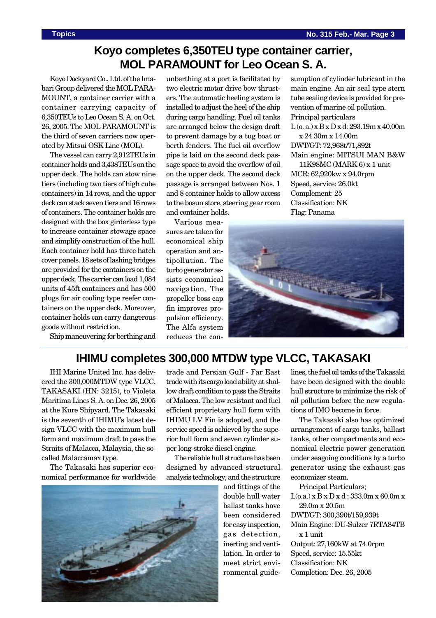sumption of cylinder lubricant in the main engine. An air seal type stern tube sealing device is provided for prevention of marine oil pollution.

 $L(0, a)$  x  $B x D x d: 293.19 m x 40.00 m$ 

Main engine: MITSUI MAN B&W 11K98MC (MARK 6) x 1 unit

# **Koyo completes 6,350TEU type container carrier, MOL PARAMOUNT for Leo Ocean S. A.**

Koyo Dockyard Co., Ltd. of the Imabari Group delivered the MOL PARA-MOUNT, a container carrier with a container carrying capacity of 6,350TEUs to Leo Ocean S. A. on Oct. 26, 2005. The MOL PARAMOUNT is the third of seven carriers now operated by Mitsui OSK Line (MOL).

The vessel can carry 2,912TEUs in container holds and 3,438TEUs on the upper deck. The holds can stow nine tiers (including two tiers of high cube containers) in 14 rows, and the upper deck can stack seven tiers and 16 rows of containers. The container holds are designed with the box girderless type to increase container stowage space and simplify construction of the hull. Each container hold has three hatch cover panels. 18 sets of lashing bridges are provided for the containers on the upper deck. The carrier can load 1,084 units of 45ft containers and has 500 plugs for air cooling type reefer containers on the upper deck. Moreover, container holds can carry dangerous goods without restriction.

Ship maneuvering for berthing and

unberthing at a port is facilitated by two electric motor drive bow thrusters. The automatic heeling system is installed to adjust the heel of the ship during cargo handling. Fuel oil tanks are arranged below the design draft to prevent damage by a tug boat or berth fenders. The fuel oil overflow pipe is laid on the second deck passage space to avoid the overflow of oil on the upper deck. The second deck passage is arranged between Nos. 1 and 8 container holds to allow access to the bosun store, steering gear room and container holds.

Various measures are taken for economical ship operation and antipollution. The turbo generator assists economical navigation. The propeller boss cap fin improves propulsion efficiency. The Alfa system reduces the conClassification: NK Flag: Panama

Principal particulars

x 24.30m x 14.00m DWT/GT: 72,968t/71,892t

MCR: 62,920kw x 94.0rpm Speed, service: 26.0kt Complement: 25

# **IHIMU completes 300,000 MTDW type VLCC, TAKASAKI**

IHI Marine United Inc. has delivered the 300,000MTDW type VLCC, TAKASAKI (HN: 3215), to Violeta Maritima Lines S. A. on Dec. 26, 2005 at the Kure Shipyard. The Takasaki is the seventh of IHIMU's latest design VLCC with the maximum hull form and maximum draft to pass the Straits of Malacca, Malaysia, the socalled Malaccamax type.

The Takasaki has superior economical performance for worldwide



trade and Persian Gulf - Far East trade with its cargo load ability at shallow draft condition to pass the Straits of Malacca. The low resistant and fuel efficient proprietary hull form with IHIMU LV Fin is adopted, and the service speed is achieved by the superior hull form and seven cylinder super long-stroke diesel engine.

The reliable hull structure has been designed by advanced structural analysis technology, and the structure

and fittings of the double hull water ballast tanks have been considered for easy inspection, gas detection, inerting and ventilation. In order to meet strict environmental guidelines, the fuel oil tanks of the Takasaki have been designed with the double hull structure to minimize the risk of oil pollution before the new regulations of IMO become in force.

The Takasaki also has optimized arrangement of cargo tanks, ballast tanks, other compartments and economical electric power generation under seagoing conditions by a turbo generator using the exhaust gas economizer steam.

Principal Particulars;  $L(o.a.) x B x D x d : 333.0m x 60.0m x$ 29.0m x 20.5m DWT/GT: 300,390t/159,939t Main Engine: DU-Sulzer 7RTA84TB x 1 unit Output: 27,160kW at 74.0rpm Speed, service: 15.55kt Classification: NK Completion: Dec. 26, 2005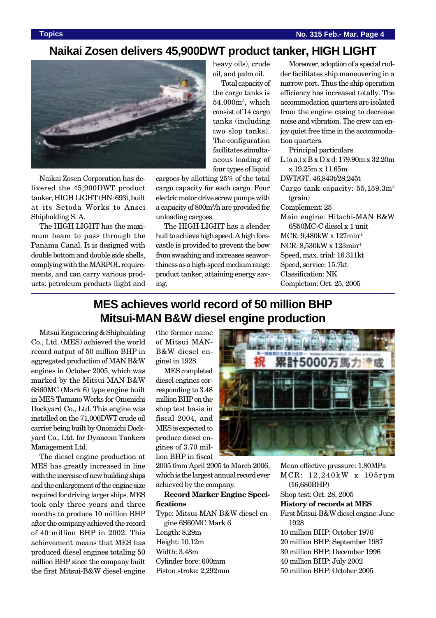#### **Naikai Zosen delivers 45,900DWT product tanker, HIGH LIGHT**



Naikai Zosen Corporation has delivered the 45,900DWT product tanker, HIGH LIGHT (HN: 693), built at its Setoda Works to Ansei Shipholding S. A.

The HIGH LIGHT has the maximum beam to pass through the Panama Canal. It is designed with double bottom and double side shells, complying with the MARPOL requirements, and can carry various products: petroleum products (light and

heavy oils), crude oil, and palm oil.

Total capacity of the cargo tanks is  $54,\!000$ m $^3$ , which consist of 14 cargo tanks (including two slop tanks). The configuration facilitates simultaneous loading of four types of liquid

cargoes by allotting 25% of the total cargo capacity for each cargo. Four electric motor drive screw pumps with a capacity of 800m3 /h are provided for unloading cargoes.

The HIGH LIGHT has a slender hull to achieve high speed. A high forecastle is provided to prevent the bow from swashing and increases seaworthiness as a high-speed medium range product tanker, attaining energy saving.

Moreover, adoption of a special rudder facilitates ship maneuvering in a narrow port. Thus the ship operation efficiency has increased totally. The accommodation quarters are isolated from the engine casing to decrease noise and vibration. The crew can enjoy quiet free time in the accommodation quarters.

Principal particulars

L (o.a.) x B x D x d: 179.90m x 32.20m x 19.25m x 11.65m DWT/GT: 46,843t/28,245t Cargo tank capacity:  $55,159.3m<sup>3</sup>$ (grain) Complement: 25 Main engine: Hitachi-MAN B&W 6S50MC-C diesel x 1 unit MCR: 9,480kW x 127min-1 NCR: 8,530kW x 123min-1 Speed, max. trial: 16.311kt Speed, service: 15.7kt Classification: NK Completion: Oct. 25, 2005

# **MES achieves world record of 50 million BHP Mitsui-MAN B&W diesel engine production**

Mitsui Engineering & Shipbuilding Co., Ltd. (MES) achieved the world record output of 50 million BHP in aggregated production of MAN B&W engines in October 2005, which was marked by the Mitsui-MAN B&W 6S60MC (Mark 6) type engine built in MES Tamano Works for Onomichi Dockyard Co., Ltd. This engine was installed on the 71,000DWT crude oil carrier being built by Onomichi Dockyard Co., Ltd. for Dynacom Tankers Management Ltd.

The diesel engine production at MES has greatly increased in line with the increase of new building ships and the enlargement of the engine size required for driving larger ships. MES took only three years and three months to produce 10 million BHP after the company achieved the record of 40 million BHP in 2002. This achievement means that MES has produced diesel engines totaling 50 million BHP since the company built the first Mitsui-B&W diesel engine

(the former name of Mitsui MAN-B&W diesel engine) in 1928.

MES completed diesel engines corresponding to 3.48 million BHP on the shop test basis in fiscal 2004, and MES is expected to produce diesel engines of 3.70 million BHP in fiscal

2005 from April 2005 to March 2006, which is the largest annual record ever achieved by the company.

**Record Marker Engine Specifications**

Type: Mitsui-MAN B&W diesel engine 6S60MC Mark 6 Length: 8.29m Height: 10.12m Width: 3.48m Cylinder bore: 600mm Piston stroke: 2,292mm



Mean effective pressure: 1.80MPa MCR: 12,240kW x 105rpm (16,680BHP) Shop test: Oct. 28, 2005 **History of records at MES** First Mitsui-B&W diesel engine: June 1928 10 million BHP: October 1976 20 million BHP: September 1987 30 million BHP: December 1996 40 million BHP: July 2002 50 million BHP: October 2005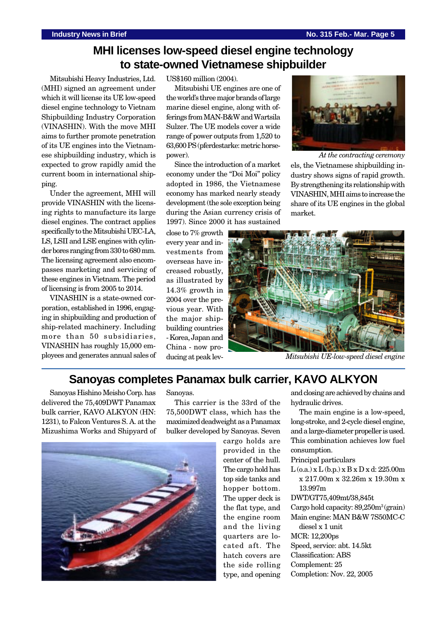# **MHI licenses low-speed diesel engine technology to state-owned Vietnamese shipbuilder**

Mitsubishi Heavy Industries, Ltd. (MHI) signed an agreement under which it will license its UE low-speed diesel engine technology to Vietnam Shipbuilding Industry Corporation (VINASHIN). With the move MHI aims to further promote penetration of its UE engines into the Vietnamese shipbuilding industry, which is expected to grow rapidly amid the current boom in international shipping.

Under the agreement, MHI will provide VINASHIN with the licensing rights to manufacture its large diesel engines. The contract applies specifically to the Mitsubishi UEC-LA, LS, LSII and LSE engines with cylinder bores ranging from 330 to 680 mm. The licensing agreement also encompasses marketing and servicing of these engines in Vietnam. The period of licensing is from 2005 to 2014.

VINASHIN is a state-owned corporation, established in 1996, engaging in shipbuilding and production of ship-related machinery. Including more than 50 subsidiaries, VINASHIN has roughly 15,000 employees and generates annual sales of US\$160 million (2004).

Mitsubishi UE engines are one of the world's three major brands of large marine diesel engine, along with offerings from MAN-B&W and Wartsila Sulzer. The UE models cover a wide range of power outputs from 1,520 to 63,600 PS (pferdestarke: metric horsepower).

Since the introduction of a market economy under the "Doi Moi" policy adopted in 1986, the Vietnamese economy has marked nearly steady development (the sole exception being during the Asian currency crisis of 1997). Since 2000 it has sustained

close to 7% growth every year and investments from overseas have increased robustly, as illustrated by 14.3% growth in 2004 over the previous year. With the major shipbuilding countries - Korea, Japan and China - now producing at peak lev-



 *At the contracting ceremony* els, the Vietnamese shipbuilding industry shows signs of rapid growth. By strengthening its relationship with VINASHIN, MHI aims to increase the share of its UE engines in the global market.



*Mitsubishi UE-low-speed diesel engine*

#### **Sanoyas completes Panamax bulk carrier, KAVO ALKYON**

Sanoyas Hishino Meisho Corp. has delivered the 75,409DWT Panamax bulk carrier, KAVO ALKYON (HN: 1231), to Falcon Ventures S. A. at the Mizushima Works and Shipyard of Sanoyas.

This carrier is the 33rd of the 75,500DWT class, which has the maximized deadweight as a Panamax bulker developed by Sanoyas. Seven



cargo holds are provided in the center of the hull. The cargo hold has top side tanks and hopper bottom. The upper deck is the flat type, and the engine room and the living quarters are located aft. The hatch covers are the side rolling type, and opening

and closing are achieved by chains and hydraulic drives.

The main engine is a low-speed, long-stroke, and 2-cycle diesel engine, and a large-diameter propeller is used. This combination achieves low fuel consumption.

Principal particulars

 $L$  (o.a.)  $x L$  (b.p.)  $x B x D x d: 225.00m$ x 217.00m x 32.26m x 19.30m x 13.997m

DWT/GT75,409mt/38,845t

Cargo hold capacity: 89,250m3 (grain) Main engine: MAN B&W 7S50MC-C

diesel x 1 unit

- MCR: 12,200ps
- Speed, service: abt. 14.5kt

Classification: ABS

Complement: 25

Completion: Nov. 22, 2005